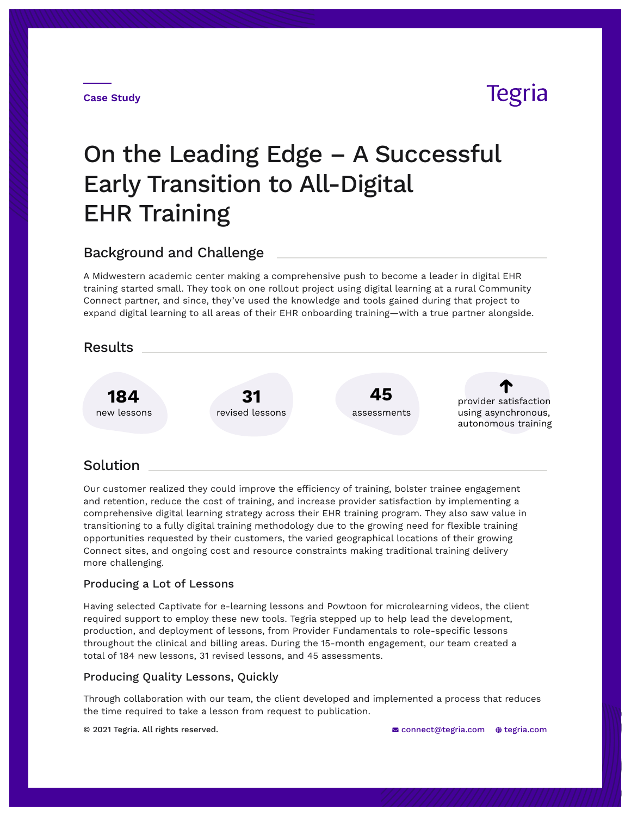#### **Case Study**

# Tegria

# On the Leading Edge – A Successful Early Transition to All-Digital EHR Training

## Background and Challenge

A Midwestern academic center making a comprehensive push to become a leader in digital EHR training started small. They took on one rollout project using digital learning at a rural Community Connect partner, and since, they've used the knowledge and tools gained during that project to expand digital learning to all areas of their EHR onboarding training—with a true partner alongside.





# Solution

Our customer realized they could improve the efficiency of training, bolster trainee engagement and retention, reduce the cost of training, and increase provider satisfaction by implementing a comprehensive digital learning strategy across their EHR training program. They also saw value in transitioning to a fully digital training methodology due to the growing need for flexible training opportunities requested by their customers, the varied geographical locations of their growing Connect sites, and ongoing cost and resource constraints making traditional training delivery more challenging.

#### Producing a Lot of Lessons

Having selected Captivate for e-learning lessons and Powtoon for microlearning videos, the client required support to employ these new tools. Tegria stepped up to help lead the development, production, and deployment of lessons, from Provider Fundamentals to role-specific lessons throughout the clinical and billing areas. During the 15-month engagement, our team created a total of 184 new lessons, 31 revised lessons, and 45 assessments.

## Producing Quality Lessons, Quickly

Through collaboration with our team, the client developed and implemented a process that reduces the time required to take a lesson from request to publication.

© 2021 Tegria. All rights reserved.  $\blacksquare$  connect@tegria.com  $\spadesuit$  tegria.com